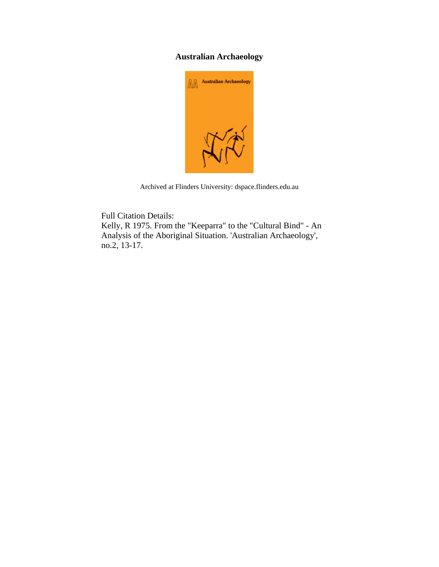## **Australian Archaeology**



Archived at Flinders University: dspace.flinders.edu.au

Full Citation Details:

Kelly, R 1975. From the "Keeparra" to the "Cultural Bind" - An Analysis of the Aboriginal Situation. 'Australian Archaeology', no.2, 13-17.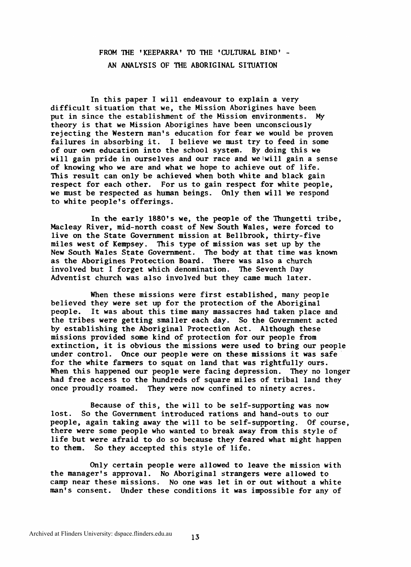## FROM THE 'KEEPARRA' TO **THE** 'CULTURAL BIND' - AN ANALYSIS OF **THE** ABORIGINAL SITUATION

In this paper I will endeavour to explain a very difficult situation that we, the Mission Aborigines have been put in since the establishment **oE** the Mission environments. **My**  theory is that we Mission Aborigines have been unconsciously rejecting **the** Western man's education for fear we would be proven failures in absorbing it. I believe we must try to feed in some of our own education into the school system. By doing this we will gain pride in ourselves and our race and we will gain a sense of knowing who we are and what we hope to achieve out of life. This result can only be achieved when both white and black gain respect for each other. For us to gain respect for white people, we must be respected as human beings. Only then will we respond to white people's offerings.

In the early 1880's we, the peaple of the Thungetti tribe, Macleay River, mid-north coast of New South Wales, were forced to live on the State Government mission at Bellbrook, thirty-five miles west of Kempsey. This type of mission was set up by the New South Wales State Government. **The** body at that time was known as the Aborigines Protection Board. There was also a church involved but I forget which denomination. The Seventh Day Adventist church was also involved but they came much later.

When these missions were first established, many people believed they were set up for the protection of the Aboriginal people. It was about this time many massacres had taken place and the tribes were getting smaller each day. So the Government acted by establishing the Aboriginal Protection Act. Although these missions provided some kind of protection for our people from extinction, it is obvious the missions were used to bring our people under control. Once our people were on these missions it was safe for the white farmers to squat on land that was rightfully ours. When this happened our people were facing depression. They no longer had free access to the hundreds of square miles of tribal land they once proudly roamed. They were now confined to ninety acres.

Because of this, the will to be self-supporting was now lost. So the Government introduced rations and hand-outs to our people, again taking away the will to be self-supporting. Of course, there were some people who wanted to break away from this style of life but were afraid to do so because they feared what might happen to them. So they accepted this style of life.

Only certain people were allowed to leave the mission with the manager's approval. No Aboriginal strangers were allowed to camp near these missions. No one was let in or out without a white man's consent. Under these conditions it was impossible for any of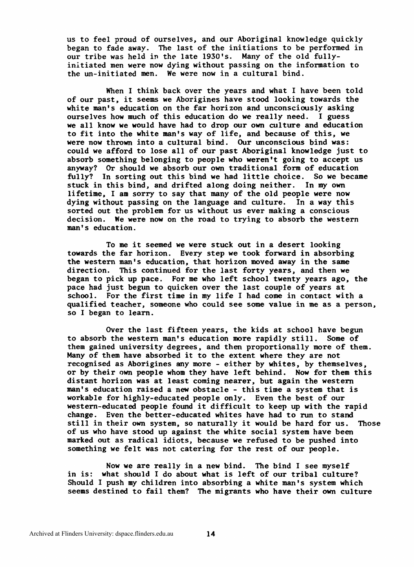us to feel proud of ourselves, and our Aboriginal knowledge quickly began to fade away. The last of the initiations to be performed in our tribe was held in the late 1930's. Many of the old fullyinitiated men were now dying without passing on the information to the un-initiated men. We were now in a cultural bind.

When I think back over the years and what I have been told of our past, it seems we Aborigines have stood looking towards the white man's education on the far horizon and unconsciously asking ourselves how much of this education do we really need. I guess we all know we would have had to drop our own culture and education to fit into the white man's way of life, and because of this, we were now thrown into a cultural bind. Our unconscious bind was: could we afford to lose all of our past Aboriginal knowledge just to absorb something belonging to people who weren't going to accept us anyway? **Or** should we absorb our own traditional form of education fully? In sorting out this bind we had little choice. So we became stuck in this bind, and drifted along doing neither. In my own lifetime, I am sorry to say that many of the old people were now dying without passing on the language and culture. In a way this sorted out the problem for us without us ever making a conscious decision. We were now on the road to trying to absorb the western man's education.

To me it seemed we were stuck out in a desert looking towards the far horizon. Every step we took forward in absorbing the western man's education, that horizon moved away in the same direction. This continued for the last forty years, and then we began to pick up pace. For me who left school twenty years ago, the pace had just begun to quicken over the last couple of years at school. For the first time in my life I had come in contact with a qualified teacher, someone who could see some value in me as a person, so I began to learn.

Over the last fifteen years, the kids at school have begun to absorb the western man's education more rapidly still. Some of them gained university degrees, and then proportionally more of them. Many of them have absorbed it to the extent where they are not recognised as Aborigines any more - either by whites, by themselves, or by their **own** people whom they have left behind. Now for them this distant horizon was at least coming nearer, but again the western man's education raised a new obstacle - this time a system that is workable for highly-educated people only. Even the best of our western-educated people found it difficult to keep up with the rapid change. Even the better-educated whites have had to run to stand still in their own system, so naturally it would be hard for us. Those of us who have stood up against the white social system have been marked out as radical idiots, because we refused to be pushed into something we felt was not catering for the rest of our people.

Now we are really in a new bind. The bind I see myself in is: what should I do about what is left of **our** tribal culture? Should I push my children into absorbing a white man's system which seems destined to fail them? The migrants who have their own culture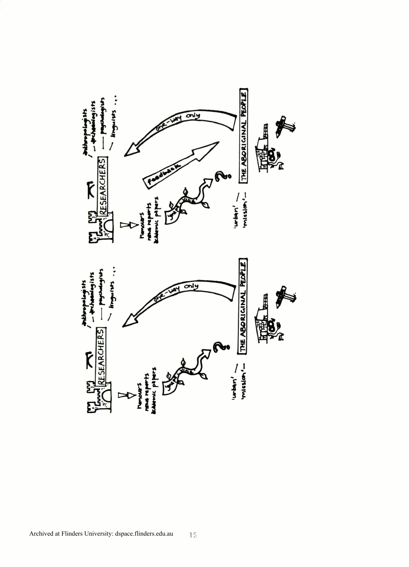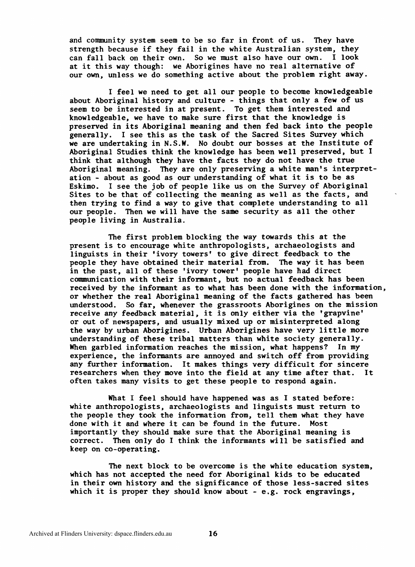and community system seem to be so far in front of us. They have strength because if they fail in the white Australian system, they can fall back on their own. So we must also have our own. I look at it this way though: we Aborigines have no real alternative of our own, unless we do something active about the problem right away.

I feel we need to get all our people to become knowledgeable about Aboriginal history and culture - things that only a few of us seem to be interested in at present. To get them interested and knowledgeable, we have to make sure first that the knowledge is preserved in its Aboriginal meaning and then fed back into the people generally. I see this as the task of the Sacred Sites Survey which we are undertaking in **N.S.W.** No doubt our bosses at the Institute of Aboriginal Studies think the knowledge has been well preserved, but I think that although they have the facts they do not have the true Aboriginal meaning. They are only preserving a white man's interpretation - about as good as our understanding of what it is to be as Eskimo. I see the job of people like us on the Survey of Aboriginal Sites to be that of collecting the meaning as well as the facts, and then trying to find a way to give that complete understanding to all our people. Then we will have the same security as all the other people living in Australia.

The first problem blocking the way towards this at the present is to encourage white anthropologists, archaeologists and linguists in their 'ivory towers' to give direct feedback to the people they have obtained their material from. The way it has been in the past, all of these 'ivory tower' people have had direct communication with their informant, but no actual feedback has been received by the informant as to what has been done with the information, or whether the real Aboriginal meaning of the facts gathered has been understood. So far, whenever the grassroots Aborigines on the mission receive any feedback material, it is only either via the 'grapvine' or out of newspapers, and usually mixed up or misinterpreted along the way by urban Aborigines. Urban Aborigines have very little more understanding of these tribal matters than white society generally. **When** garbled information reaches the mission, what happens? In my experience, the informants are annoyed and switch off from providing any further information. It makes things very difficult for sincere researchers when they move into the field at any time after that. It often takes many visits to get these people to respond again.

What I feel should have happened was as I stated before: white anthropologists, archaeologists and linguists must return to the people they took the information from, tell them what they have done with it and where it can be found in the future. Most importantly they should make sure that the Aboriginal meaning is correct. Then only do I think the informants will be satisfied and keep on co-operating .

The next block to be overcome is the white education system, which has not accepted the need for Aboriginal kids to be educated in their own history and the significance of those less-sacred sites which it is proper they should know about - e.g. rock engravings,